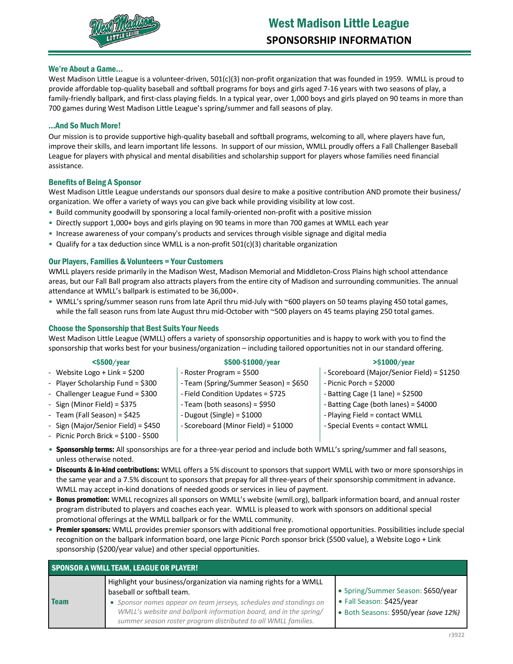

### We're About a Game...

West Madison Little League is a volunteer-driven, 501(c)(3) non-profit organization that was founded in 1959. WMLL is proud to provide affordable top-quality baseball and softball programs for boys and girls aged 7-16 years with two seasons of play, a family-friendly ballpark, and first-class playing fields. In a typical year, over 1,000 boys and girls played on 90 teams in more than 700 games during West Madison Little League's spring/summer and fall seasons of play.

### …And So Much More!

Our mission is to provide supportive high-quality baseball and softball programs, welcoming to all, where players have fun, improve their skills, and learn important life lessons. In support of our mission, WMLL proudly offers a Fall Challenger Baseball League for players with physical and mental disabilities and scholarship support for players whose families need financial assistance.

## Benefits of Being A Sponsor

West Madison Little League understands our sponsors dual desire to make a positive contribution AND promote their business/ organization. We offer a variety of ways you can give back while providing visibility at low cost.

- Build community goodwill by sponsoring a local family-oriented non-profit with a positive mission
- Directly support 1,000+ boys and girls playing on 90 teams in more than 700 games at WMLL each year
- Increase awareness of your company's products and services through visible signage and digital media
- Qualify for a tax deduction since WMLL is a non-profit 501(c)(3) charitable organization

### Our Players, Families & Volunteers = Your Customers

WMLL players reside primarily in the Madison West, Madison Memorial and Middleton-Cross Plains high school attendance areas, but our Fall Ball program also attracts players from the entire city of Madison and surrounding communities. The annual attendance at WMLL's ballpark is estimated to be 36,000+.

• WMLL's spring/summer season runs from late April thru mid-July with ~600 players on 50 teams playing 450 total games, while the fall season runs from late August thru mid-October with ~500 players on 45 teams playing 250 total games.

### Choose the Sponsorship that Best Suits Your Needs

West Madison Little League (WMLL) offers a variety of sponsorship opportunities and is happy to work with you to find the sponsorship that works best for your business/organization – including tailored opportunities not in our standard offering.

#### <\$500/year \$500-\$1000/year >\$1000/year

- Website Logo + Link = \$200 - Player Scholarship Fund = \$300 - Challenger League Fund = \$300 - Sign (Minor Field) = \$375 - Team (Fall Season) = \$425 - Sign (Major/Senior Field) = \$450 - Picnic Porch Brick = \$100 - \$500 - Roster Program = \$500 - Team (Spring/Summer Season) = \$650 - Field Condition Updates = \$725 - Team (both seasons) = \$950 - Dugout (Single) = \$1000 - Scoreboard (Minor Field) = \$1000 - Scoreboard (Major/Senior Field) = \$1250 - Picnic Porch = \$2000  $-$  Batting Cage (1 lane) = \$2500 - Batting Cage (both lanes) = \$4000 - Playing Field = contact WMLL - Special Events = contact WMLL
- Sponsorship terms: All sponsorships are for a three-year period and include both WMLL's spring/summer and fall seasons, unless otherwise noted.
- Discounts & in-kind contributions: WMLL offers a 5% discount to sponsors that support WMLL with two or more sponsorships in the same year and a 7.5% discount to sponsors that prepay for all three-years of their sponsorship commitment in advance. WMLL may accept in-kind donations of needed goods or services in lieu of payment.
- Bonus promotion: WMLL recognizes all sponsors on WMLL's website (wmll.org), ballpark information board, and annual roster program distributed to players and coaches each year. WMLL is pleased to work with sponsors on additional special promotional offerings at the WMLL ballpark or for the WMLL community.
- Premier sponsors: WMLL provides premier sponsors with additional free promotional opportunities. Possibilities include special recognition on the ballpark information board, one large Picnic Porch sponsor brick (\$500 value), a Website Logo + Link sponsorship (\$200/year value) and other special opportunities.

| <b>SPONSOR A WMLL TEAM, LEAGUE OR PLAYER!</b> |                                                                                                                                                                                                                                                                                                              |                                                                                                          |  |
|-----------------------------------------------|--------------------------------------------------------------------------------------------------------------------------------------------------------------------------------------------------------------------------------------------------------------------------------------------------------------|----------------------------------------------------------------------------------------------------------|--|
| <b>Team</b>                                   | Highlight your business/organization via naming rights for a WMLL<br>baseball or softball team.<br>• Sponsor names appear on team jerseys, schedules and standings on<br>WMLL's website and ballpark information board, and in the spring/<br>summer season roster program distributed to all WMLL families. | • Spring/Summer Season: \$650/year<br>• Fall Season: \$425/year<br>· Both Seasons: \$950/year (save 12%) |  |